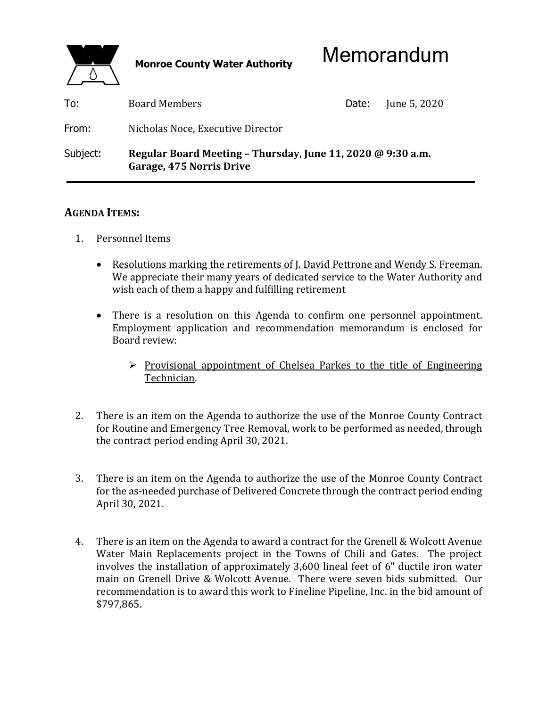

| To:      | <b>Board Members</b>                                                                    | Date: | June 5, 2020 |
|----------|-----------------------------------------------------------------------------------------|-------|--------------|
| From:    | Nicholas Noce, Executive Director                                                       |       |              |
| Subject: | Regular Board Meeting - Thursday, June 11, 2020 @ 9:30 a.m.<br>Garage, 475 Norris Drive |       |              |

## **AGENDA ITEMS:**

- 1. Personnel Items
	- Resolutions marking the retirements of J. David Pettrone and Wendy S. Freeman. We appreciate their many years of dedicated service to the Water Authority and wish each of them a happy and fulfilling retirement
	- There is a resolution on this Agenda to confirm one personnel appointment. Employment application and recommendation memorandum is enclosed for Board review:
		- $\triangleright$  Provisional appointment of Chelsea Parkes to the title of Engineering Technician.
- 2. There is an item on the Agenda to authorize the use of the Monroe County Contract for Routine and Emergency Tree Removal, work to be performed as needed, through the contract period ending April 30, 2021.
- 3. There is an item on the Agenda to authorize the use of the Monroe County Contract for the as-needed purchase of Delivered Concrete through the contract period ending April 30, 2021.
- 4. There is an item on the Agenda to award a contract for the Grenell & Wolcott Avenue Water Main Replacements project in the Towns of Chili and Gates. The project involves the installation of approximately 3,600 lineal feet of 6" ductile iron water main on Grenell Drive & Wolcott Avenue. There were seven bids submitted. Our recommendation is to award this work to Fineline Pipeline, Inc. in the bid amount of \$797,865.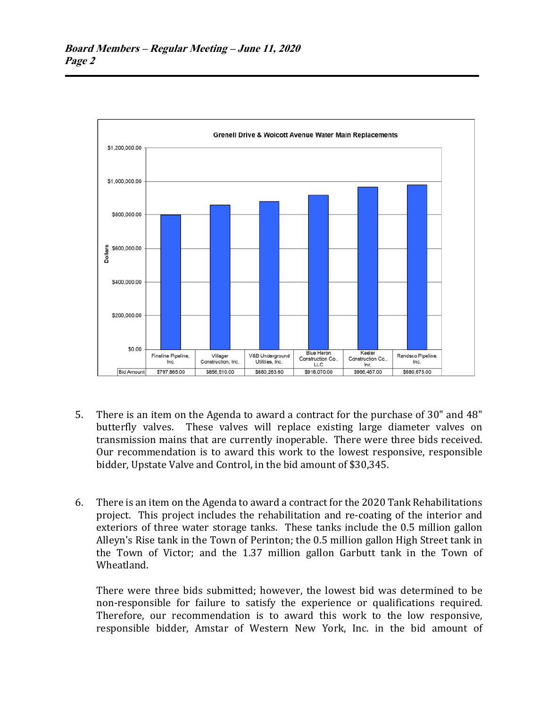

- 5. There is an item on the Agenda to award a contract for the purchase of 30" and 48" butterfly valves. These valves will replace existing large diameter valves on transmission mains that are currently inoperable. There were three bids received. Our recommendation is to award this work to the lowest responsive, responsible bidder, Upstate Valve and Control, in the bid amount of \$30,345.
- 6. There is an item on the Agenda to award a contract for the 2020 Tank Rehabilitations project. This project includes the rehabilitation and re-coating of the interior and exteriors of three water storage tanks. These tanks include the 0.5 million gallon Alleyn's Rise tank in the Town of Perinton; the 0.5 million gallon High Street tank in the Town of Victor; and the 1.37 million gallon Garbutt tank in the Town of Wheatland.

 There were three bids submitted; however, the lowest bid was determined to be non-responsible for failure to satisfy the experience or qualifications required. Therefore, our recommendation is to award this work to the low responsive, responsible bidder, Amstar of Western New York, Inc. in the bid amount of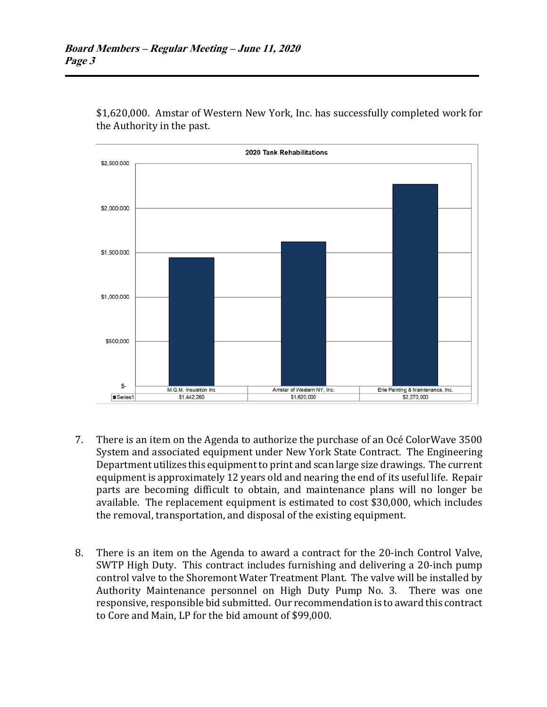

\$1,620,000. Amstar of Western New York, Inc. has successfully completed work for the Authority in the past.

- 7. There is an item on the Agenda to authorize the purchase of an Océ ColorWave 3500 System and associated equipment under New York State Contract. The Engineering Department utilizes this equipment to print and scan large size drawings. The current equipment is approximately 12 years old and nearing the end of its useful life. Repair parts are becoming difficult to obtain, and maintenance plans will no longer be available. The replacement equipment is estimated to cost \$30,000, which includes the removal, transportation, and disposal of the existing equipment.
- 8. There is an item on the Agenda to award a contract for the 20-inch Control Valve, SWTP High Duty. This contract includes furnishing and delivering a 20-inch pump control valve to the Shoremont Water Treatment Plant. The valve will be installed by Authority Maintenance personnel on High Duty Pump No. 3. There was one responsive, responsible bid submitted. Our recommendation is to award this contract to Core and Main, LP for the bid amount of \$99,000.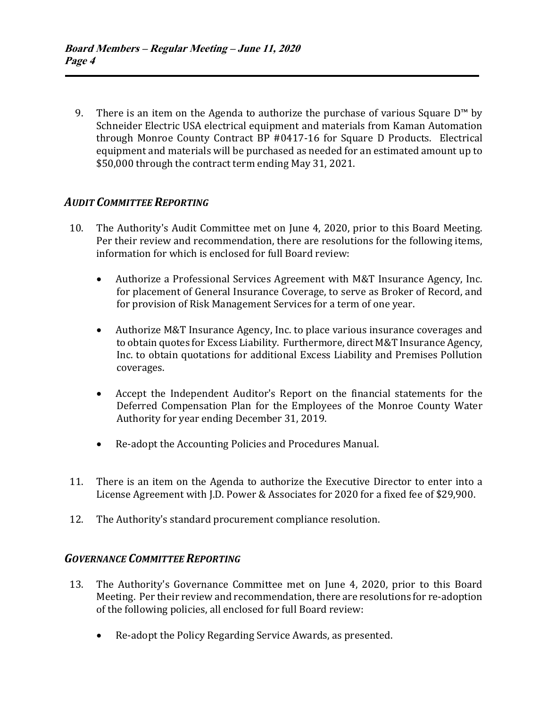9. There is an item on the Agenda to authorize the purchase of various Square  $D^{\text{m}}$  by Schneider Electric USA electrical equipment and materials from Kaman Automation through Monroe County Contract BP #0417-16 for Square D Products. Electrical equipment and materials will be purchased as needed for an estimated amount up to \$50,000 through the contract term ending May 31, 2021.

# *AUDIT COMMITTEE REPORTING*

- 10. The Authority's Audit Committee met on June 4, 2020, prior to this Board Meeting. Per their review and recommendation, there are resolutions for the following items, information for which is enclosed for full Board review:
	- Authorize a Professional Services Agreement with M&T Insurance Agency, Inc. for placement of General Insurance Coverage, to serve as Broker of Record, and for provision of Risk Management Services for a term of one year.
	- Authorize M&T Insurance Agency, Inc. to place various insurance coverages and to obtain quotes for Excess Liability. Furthermore, direct M&T Insurance Agency, Inc. to obtain quotations for additional Excess Liability and Premises Pollution coverages.
	- Accept the Independent Auditor's Report on the financial statements for the Deferred Compensation Plan for the Employees of the Monroe County Water Authority for year ending December 31, 2019.
	- Re-adopt the Accounting Policies and Procedures Manual.
- 11. There is an item on the Agenda to authorize the Executive Director to enter into a License Agreement with J.D. Power & Associates for 2020 for a fixed fee of \$29,900.
- 12. The Authority's standard procurement compliance resolution.

# *GOVERNANCE COMMITTEE REPORTING*

- 13. The Authority's Governance Committee met on June 4, 2020, prior to this Board Meeting. Per their review and recommendation, there are resolutions for re-adoption of the following policies, all enclosed for full Board review:
	- Re-adopt the Policy Regarding Service Awards, as presented.